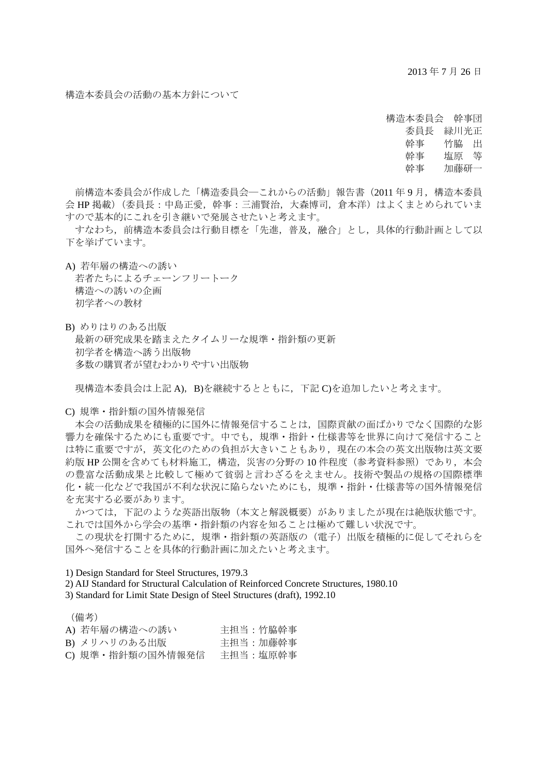2013 年 7 月 26 日

## 構造本委員会の活動の基本方針について

構造本委員会 幹事団 委員長 緑川光正 幹事 竹脇 出 幹事 塩原 等 幹事 加藤研一

前構造本委員会が作成した「構造委員会―これからの活動」報告書(2011年9月,構造本委員 会 HP 掲載)(委員長:中島正愛,幹事:三浦賢治,大森博司,倉本洋)はよくまとめられていま すので基本的にこれを引き継いで発展させたいと考えます。

 すなわち,前構造本委員会は行動目標を「先進,普及,融合」とし,具体的行動計画として以 下を挙げています。

A) 若年層の構造への誘い 若者たちによるチェーンフリートーク 構造への誘いの企画 初学者への教材

B) めりはりのある出版 最新の研究成果を踏まえたタイムリーな規準・指針類の更新 初学者を構造へ誘う出版物 多数の購買者が望むわかりやすい出版物

現構造本委員会は上記 A), B)を継続するとともに、下記 C)を追加したいと考えます。

C) 規準・指針類の国外情報発信

 本会の活動成果を積極的に国外に情報発信することは,国際貢献の面ばかりでなく国際的な影 響力を確保するためにも重要です。中でも,規準・指針・仕様書等を世界に向けて発信すること は特に重要ですが,英文化のための負担が大きいこともあり,現在の本会の英文出版物は英文要 約版 HP 公開を含めても材料施工,構造,災害の分野の 10 件程度 (参考資料参照) であり, 本会 の豊富な活動成果と比較して極めて貧弱と言わざるをえません。技術や製品の規格の国際標準 化・統一化などで我国が不利な状況に陥らないためにも,規準・指針・仕様書等の国外情報発信 を充実する必要があります。

 かつては,下記のような英語出版物(本文と解説概要)がありましたが現在は絶版状態です。 これでは国外から学会の基準・指針類の内容を知ることは極めて難しい状況です。

 この現状を打開するために,規準・指針類の英語版の(電子)出版を積極的に促してそれらを 国外へ発信することを具体的行動計画に加えたいと考えます。

1) Design Standard for Steel Structures, 1979.3

2) AIJ Standard for Structural Calculation of Reinforced Concrete Structures, 1980.10

3) Standard for Limit State Design of Steel Structures (draft), 1992.10

(備考)

| A) 若年層の構造への誘い    | 主担当:竹脇幹事 |
|------------------|----------|
| B) メリハリのある出版     | 主担当:加藤幹事 |
| C) 規準・指針類の国外情報発信 | 主担当:塩原幹事 |